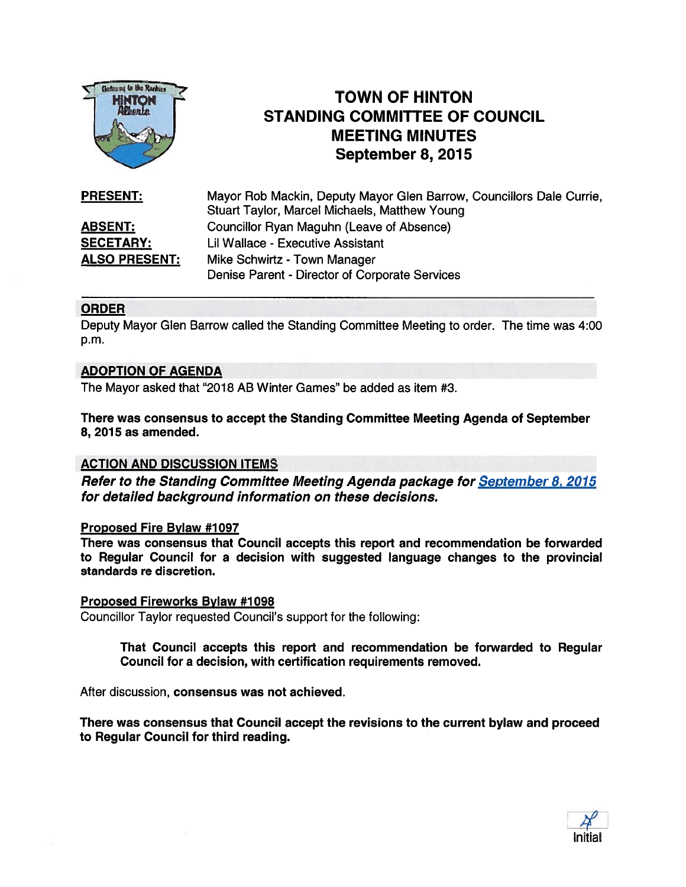

# **TOWN OF HINTON** STANDING COMMITTEE OF COUNCIL MEETING MINUTES September 8, 2015

**PRESENT:** Mayor Rob Mackin, Deputy Mayor Glen Barrow, Councillors Dale Currie, Stuart Taylor, Marcel Michaels, Matthew Young ABSENT: Councillor Ryan Maguhn (Leave of Absence) **SECETARY:** Lil Wallace - Executive Assistant ALSO PRESENT: Mike Schwirtz - Town Manager Denise Parent - Director of Corporate Services

## ORDER

Deputy Mayor Glen Barrow called the Standing Committee Meeting to order. The time was 4:00 p.m.

#### ADOPTION OF AGENDA

The Mayor asked that "2018 AB Winter Games" be added as item #3.

There was consensus to accep<sup>t</sup> the Standing Committee Meeting Agenda of September 8, 2015 as amended.

## ACTION AND DISCUSSION ITEMS

Refer to the Standing Committee Meeting Agenda package for September 8, 2015 for detailed background information on these decisions.

#### Proposed Fire Bylaw #1097

There was consensus that Council accepts this repor<sup>t</sup> and recommendation be forwarded to Regular Council for <sup>a</sup> decision with suggested language changes to the provincial standards re discretion.

#### Proposed Fireworks Bylaw #1098

Councillor Taylor requested Council's suppor<sup>t</sup> for the following:

That Council accepts this repor<sup>t</sup> and recommendation be forwarded to Regular Council for <sup>a</sup> decision, with certification requirements removed.

After discussion, consensus was not achieved.

There was consensus that Council accep<sup>t</sup> the revisions to the current bylaw and proceed to Regular Council for third reading.

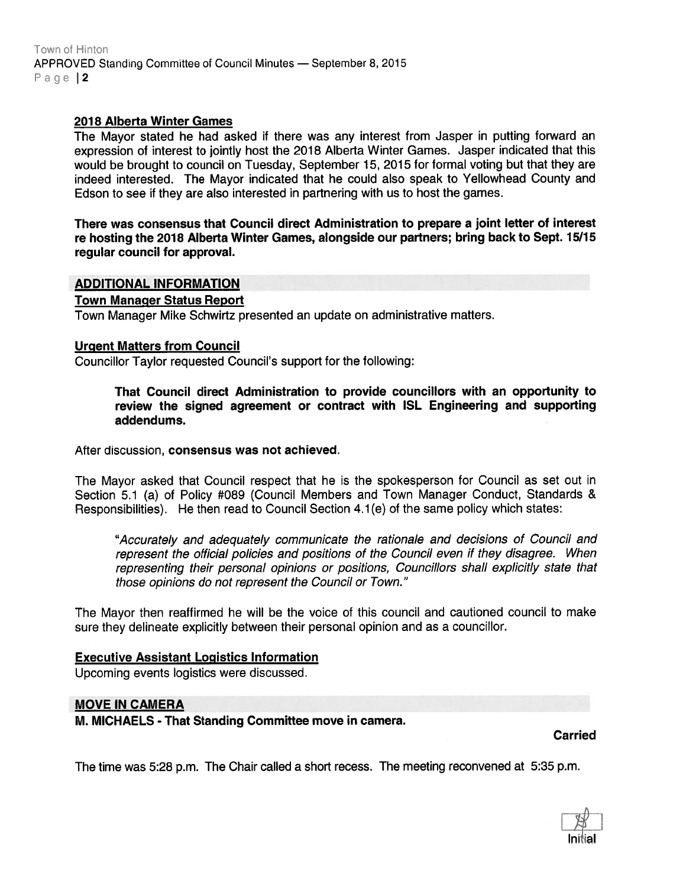Town of Hinton APPROVED Standing Committee of Council Minutes - September 8, 2015 Page | 2

#### 2018 Alberta Winter Games

The Mayor stated he had asked if there was any interest from Jasper in putting forward an expression of interest to jointly host the 2018 Alberta Winter Games. Jasper indicated that this would be brought to council on Tuesday, September 15, 2015 for formal voting but that they are indeed interested. The Mayor indicated that he could also speak to Yellowhead County and Edson to see if they are also interested in partnering with us to host the games.

There was consensus that Council direct Administration to prepare <sup>a</sup> joint letter of interest re hosting the 2018 Alberta Winter Games, alongside our partners; bring back to Sept. 15/15 regular council for approval.

#### ADDITIONAL INFORMATION

Town Manager Status Report

Town Manager Mike Schwirtz presented an update on administrative matters.

#### Urgent Matters from Council

Councillor Taylor requested Council's suppor<sup>t</sup> for the following:

That Council direct Administration to provide councillors with an opportunity to review the signed agreemen<sup>t</sup> or contract with ISL Engineering and supporting addendums.

After discussion, consensus was not achieved.

The Mayor asked that Council respec<sup>t</sup> that he is the spokesperson for Council as set out in Section 5.1 (a) of Policy #089 (Council Members and Town Manager Conduct, Standards & Responsibilities). He then read to Council Section 4.1(e) of the same policy which states:

'Accurately and adequately communicate the rationale and decisions of Council and represen<sup>t</sup> the official policies and positions of the Council even if they disagree. When representing their personal opinions or positions, Councillors shall explicitly state that those opinions do not represen<sup>t</sup> the Council or Town."

The Mayor then reaffirmed he will be the voice of this council and cautioned council to make sure they delineate explicitly between their personal opinion and as <sup>a</sup> councillor.

#### Executive Assistant Logistics Information

Upcoming events logistics were discussed.

#### MOVE IN CAMERA

M. MICHAELS - That Standing Committee move in camera.

Carried

The time was 5:28 p.m. The Chair called <sup>a</sup> short recess. The meeting reconvened at 5:35 p.m.